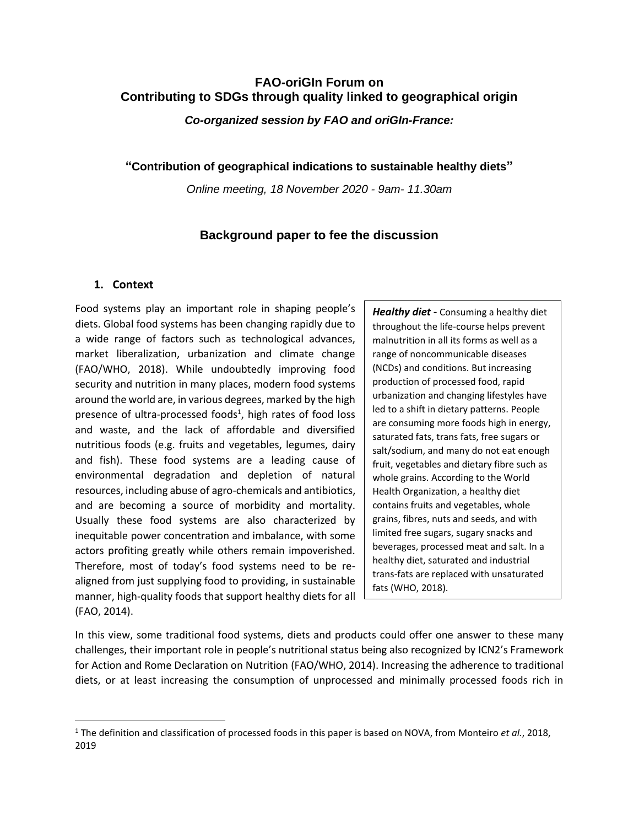# **FAO-oriGIn Forum on Contributing to SDGs through quality linked to geographical origin**

*Co-organized session by FAO and oriGIn-France:* 

**"Contribution of geographical indications to sustainable healthy diets"**

*Online meeting, 18 November 2020 - 9am- 11.30am* 

# **Background paper to fee the discussion**

# **1. Context**

Food systems play an important role in shaping people's diets. Global food systems has been changing rapidly due to a wide range of factors such as technological advances, market liberalization, urbanization and climate change (FAO/WHO, 2018). While undoubtedly improving food security and nutrition in many places, modern food systems around the world are, in various degrees, marked by the high presence of ultra-processed foods<sup>1</sup>, high rates of food loss and waste, and the lack of affordable and diversified nutritious foods (e.g. fruits and vegetables, legumes, dairy and fish). These food systems are a leading cause of environmental degradation and depletion of natural resources, including abuse of agro-chemicals and antibiotics, and are becoming a source of morbidity and mortality. Usually these food systems are also characterized by inequitable power concentration and imbalance, with some actors profiting greatly while others remain impoverished. Therefore, most of today's food systems need to be realigned from just supplying food to providing, in sustainable manner, high-quality foods that support healthy diets for all (FAO, 2014).

*Healthy diet -* Consuming a healthy diet throughout the life-course helps prevent malnutrition in all its forms as well as a range of noncommunicable diseases (NCDs) and conditions. But increasing production of processed food, rapid urbanization and changing lifestyles have led to a shift in dietary patterns. People are consuming more foods high in energy, saturated fats, trans fats, free sugars or salt/sodium, and many do not eat enough fruit, vegetables and dietary fibre such as whole grains. According to the World Health Organization, a healthy diet contains fruits and vegetables, whole grains, fibres, nuts and seeds, and with limited free sugars, sugary snacks and beverages, processed meat and salt. In a healthy diet, saturated and industrial trans-fats are replaced with unsaturated fats (WHO, 2018).

In this view, some traditional food systems, diets and products could offer one answer to these many challenges, their important role in people's nutritional status being also recognized by ICN2's Framework for Action and Rome Declaration on Nutrition (FAO/WHO, 2014). Increasing the adherence to traditional diets, or at least increasing the consumption of unprocessed and minimally processed foods rich in

<sup>1</sup> The definition and classification of processed foods in this paper is based on NOVA, from Monteiro *et al.*, 2018, 2019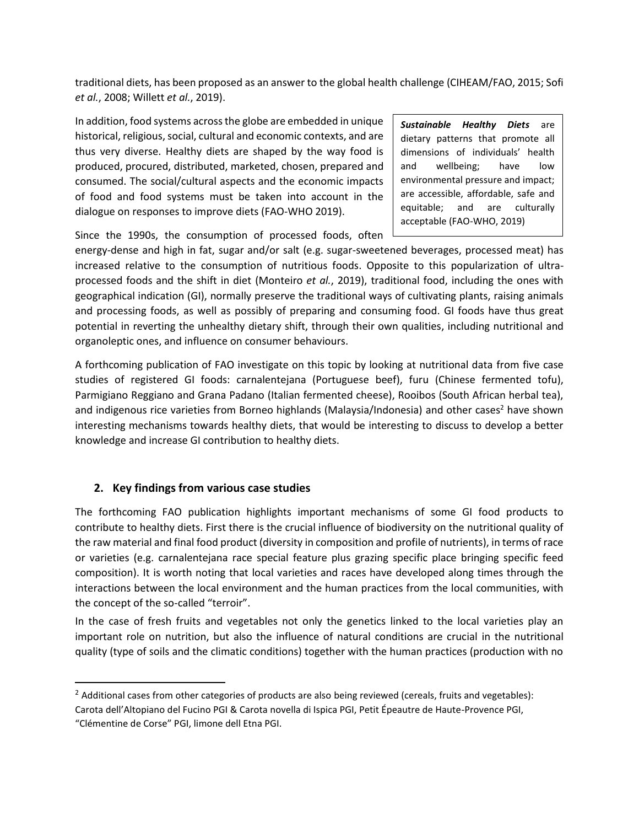traditional diets, has been proposed as an answer to the global health challenge (CIHEAM/FAO, 2015; Sofi *et al.*, 2008; Willett *et al.*, 2019).

In addition, food systems across the globe are embedded in unique historical, religious, social, cultural and economic contexts, and are thus very diverse. Healthy diets are shaped by the way food is produced, procured, distributed, marketed, chosen, prepared and consumed. The social/cultural aspects and the economic impacts of food and food systems must be taken into account in the dialogue on responses to improve diets (FAO-WHO 2019).

*Sustainable Healthy Diets* are dietary patterns that promote all dimensions of individuals' health and wellbeing; have low environmental pressure and impact; are accessible, affordable, safe and equitable; and are culturally acceptable (FAO-WHO, 2019)

Since the 1990s, the consumption of processed foods, often

energy-dense and high in fat, sugar and/or salt (e.g. sugar-sweetened beverages, processed meat) has increased relative to the consumption of nutritious foods. Opposite to this popularization of ultraprocessed foods and the shift in diet (Monteiro *et al.*, 2019), traditional food, including the ones with geographical indication (GI), normally preserve the traditional ways of cultivating plants, raising animals and processing foods, as well as possibly of preparing and consuming food. GI foods have thus great potential in reverting the unhealthy dietary shift, through their own qualities, including nutritional and organoleptic ones, and influence on consumer behaviours.

A forthcoming publication of FAO investigate on this topic by looking at nutritional data from five case studies of registered GI foods: carnalentejana (Portuguese beef), furu (Chinese fermented tofu), Parmigiano Reggiano and Grana Padano (Italian fermented cheese), Rooibos (South African herbal tea), and indigenous rice varieties from Borneo highlands (Malaysia/Indonesia) and other cases<sup>2</sup> have shown interesting mechanisms towards healthy diets, that would be interesting to discuss to develop a better knowledge and increase GI contribution to healthy diets.

## **2. Key findings from various case studies**

The forthcoming FAO publication highlights important mechanisms of some GI food products to contribute to healthy diets. First there is the crucial influence of biodiversity on the nutritional quality of the raw material and final food product (diversity in composition and profile of nutrients), in terms of race or varieties (e.g. carnalentejana race special feature plus grazing specific place bringing specific feed composition). It is worth noting that local varieties and races have developed along times through the interactions between the local environment and the human practices from the local communities, with the concept of the so-called "terroir".

In the case of fresh fruits and vegetables not only the genetics linked to the local varieties play an important role on nutrition, but also the influence of natural conditions are crucial in the nutritional quality (type of soils and the climatic conditions) together with the human practices (production with no

<sup>&</sup>lt;sup>2</sup> Additional cases from other categories of products are also being reviewed (cereals, fruits and vegetables): Carota dell'Altopiano del Fucino PGI & Carota novella di Ispica PGI, Petit Épeautre de Haute-Provence PGI, "Clémentine de Corse" PGI, limone dell Etna PGI.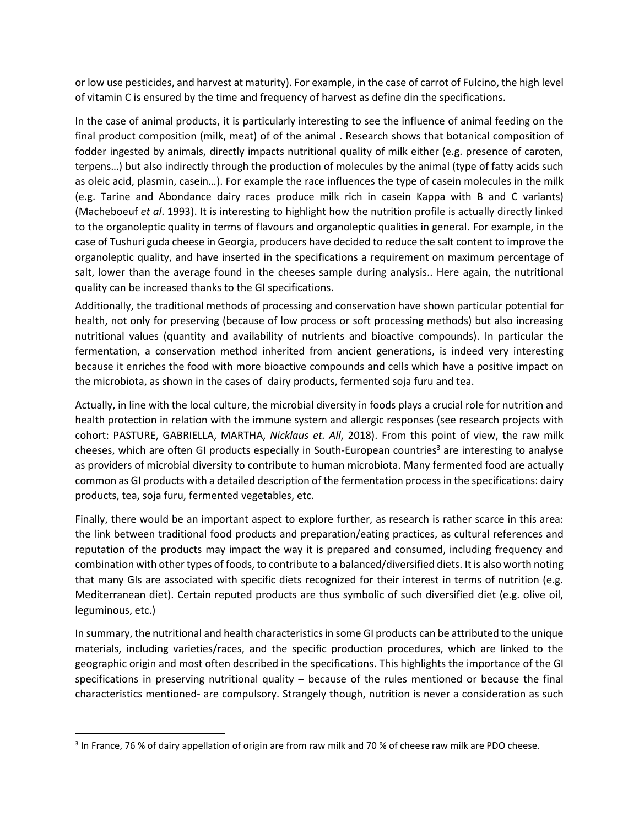or low use pesticides, and harvest at maturity). For example, in the case of carrot of Fulcino, the high level of vitamin C is ensured by the time and frequency of harvest as define din the specifications.

In the case of animal products, it is particularly interesting to see the influence of animal feeding on the final product composition (milk, meat) of of the animal . Research shows that botanical composition of fodder ingested by animals, directly impacts nutritional quality of milk either (e.g. presence of caroten, terpens…) but also indirectly through the production of molecules by the animal (type of fatty acids such as oleic acid, plasmin, casein…). For example the race influences the type of casein molecules in the milk (e.g. Tarine and Abondance dairy races produce milk rich in casein Kappa with B and C variants) (Macheboeuf *et al*. 1993). It is interesting to highlight how the nutrition profile is actually directly linked to the organoleptic quality in terms of flavours and organoleptic qualities in general. For example, in the case of Tushuri guda cheese in Georgia, producers have decided to reduce the salt content to improve the organoleptic quality, and have inserted in the specifications a requirement on maximum percentage of salt, lower than the average found in the cheeses sample during analysis.. Here again, the nutritional quality can be increased thanks to the GI specifications.

Additionally, the traditional methods of processing and conservation have shown particular potential for health, not only for preserving (because of low process or soft processing methods) but also increasing nutritional values (quantity and availability of nutrients and bioactive compounds). In particular the fermentation, a conservation method inherited from ancient generations, is indeed very interesting because it enriches the food with more bioactive compounds and cells which have a positive impact on the microbiota, as shown in the cases of dairy products, fermented soja furu and tea.

Actually, in line with the local culture, the microbial diversity in foods plays a crucial role for nutrition and health protection in relation with the immune system and allergic responses (see research projects with cohort: PASTURE, GABRIELLA, MARTHA, *Nicklaus et. All*, 2018). From this point of view, the raw milk cheeses, which are often GI products especially in South-European countries<sup>3</sup> are interesting to analyse as providers of microbial diversity to contribute to human microbiota. Many fermented food are actually common as GI products with a detailed description of the fermentation process in the specifications: dairy products, tea, soja furu, fermented vegetables, etc.

Finally, there would be an important aspect to explore further, as research is rather scarce in this area: the link between traditional food products and preparation/eating practices, as cultural references and reputation of the products may impact the way it is prepared and consumed, including frequency and combination with other types of foods, to contribute to a balanced/diversified diets. It is also worth noting that many GIs are associated with specific diets recognized for their interest in terms of nutrition (e.g. Mediterranean diet). Certain reputed products are thus symbolic of such diversified diet (e.g. olive oil, leguminous, etc.)

In summary, the nutritional and health characteristics in some GI products can be attributed to the unique materials, including varieties/races, and the specific production procedures, which are linked to the geographic origin and most often described in the specifications. This highlights the importance of the GI specifications in preserving nutritional quality – because of the rules mentioned or because the final characteristics mentioned- are compulsory. Strangely though, nutrition is never a consideration as such

<sup>&</sup>lt;sup>3</sup> In France, 76 % of dairy appellation of origin are from raw milk and 70 % of cheese raw milk are PDO cheese.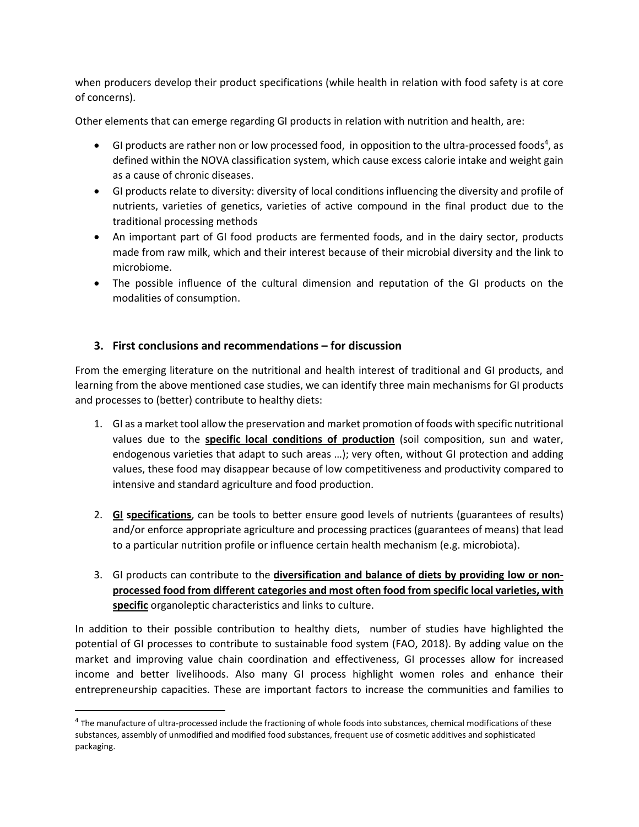when producers develop their product specifications (while health in relation with food safety is at core of concerns).

Other elements that can emerge regarding GI products in relation with nutrition and health, are:

- $\bullet$  GI products are rather non or low processed food, in opposition to the ultra-processed foods<sup>4</sup>, as defined within the NOVA classification system, which cause excess calorie intake and weight gain as a cause of chronic diseases.
- GI products relate to diversity: diversity of local conditions influencing the diversity and profile of nutrients, varieties of genetics, varieties of active compound in the final product due to the traditional processing methods
- An important part of GI food products are fermented foods, and in the dairy sector, products made from raw milk, which and their interest because of their microbial diversity and the link to microbiome.
- The possible influence of the cultural dimension and reputation of the GI products on the modalities of consumption.

# **3. First conclusions and recommendations – for discussion**

From the emerging literature on the nutritional and health interest of traditional and GI products, and learning from the above mentioned case studies, we can identify three main mechanisms for GI products and processes to (better) contribute to healthy diets:

- 1. GI as a market tool allow the preservation and market promotion of foods with specific nutritional values due to the **specific local conditions of production** (soil composition, sun and water, endogenous varieties that adapt to such areas …); very often, without GI protection and adding values, these food may disappear because of low competitiveness and productivity compared to intensive and standard agriculture and food production.
- 2. **GI specifications**, can be tools to better ensure good levels of nutrients (guarantees of results) and/or enforce appropriate agriculture and processing practices (guarantees of means) that lead to a particular nutrition profile or influence certain health mechanism (e.g. microbiota).
- 3. GI products can contribute to the **diversification and balance of diets by providing low or nonprocessed food from different categories and most often food from specific local varieties, with specific** organoleptic characteristics and links to culture.

In addition to their possible contribution to healthy diets, number of studies have highlighted the potential of GI processes to contribute to sustainable food system (FAO, 2018). By adding value on the market and improving value chain coordination and effectiveness, GI processes allow for increased income and better livelihoods. Also many GI process highlight women roles and enhance their entrepreneurship capacities. These are important factors to increase the communities and families to

<sup>&</sup>lt;sup>4</sup> The manufacture of ultra-processed include the fractioning of whole foods into substances, chemical modifications of these substances, assembly of unmodified and modified food substances, frequent use of cosmetic additives and sophisticated packaging.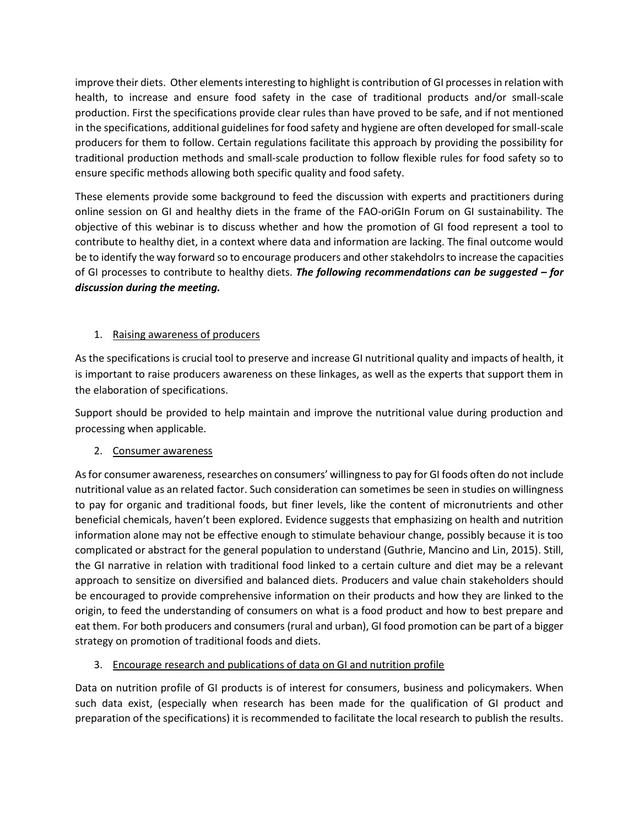improve their diets. Other elements interesting to highlight is contribution of GI processes in relation with health, to increase and ensure food safety in the case of traditional products and/or small-scale production. First the specifications provide clear rules than have proved to be safe, and if not mentioned in the specifications, additional guidelines for food safety and hygiene are often developed for small-scale producers for them to follow. Certain regulations facilitate this approach by providing the possibility for traditional production methods and small-scale production to follow flexible rules for food safety so to ensure specific methods allowing both specific quality and food safety.

These elements provide some background to feed the discussion with experts and practitioners during online session on GI and healthy diets in the frame of the FAO-oriGIn Forum on GI sustainability. The objective of this webinar is to discuss whether and how the promotion of GI food represent a tool to contribute to healthy diet, in a context where data and information are lacking. The final outcome would be to identify the way forward so to encourage producers and other stakehdolrs to increase the capacities of GI processes to contribute to healthy diets. *The following recommendations can be suggested – for discussion during the meeting.* 

# 1. Raising awareness of producers

As the specifications is crucial tool to preserve and increase GI nutritional quality and impacts of health, it is important to raise producers awareness on these linkages, as well as the experts that support them in the elaboration of specifications.

Support should be provided to help maintain and improve the nutritional value during production and processing when applicable.

## 2. Consumer awareness

As for consumer awareness, researches on consumers' willingness to pay for GI foods often do not include nutritional value as an related factor. Such consideration can sometimes be seen in studies on willingness to pay for organic and traditional foods, but finer levels, like the content of micronutrients and other beneficial chemicals, haven't been explored. Evidence suggests that emphasizing on health and nutrition information alone may not be effective enough to stimulate behaviour change, possibly because it is too complicated or abstract for the general population to understand (Guthrie, Mancino and Lin, 2015). Still, the GI narrative in relation with traditional food linked to a certain culture and diet may be a relevant approach to sensitize on diversified and balanced diets. Producers and value chain stakeholders should be encouraged to provide comprehensive information on their products and how they are linked to the origin, to feed the understanding of consumers on what is a food product and how to best prepare and eat them. For both producers and consumers (rural and urban), GI food promotion can be part of a bigger strategy on promotion of traditional foods and diets.

## 3. Encourage research and publications of data on GI and nutrition profile

Data on nutrition profile of GI products is of interest for consumers, business and policymakers. When such data exist, (especially when research has been made for the qualification of GI product and preparation of the specifications) it is recommended to facilitate the local research to publish the results.